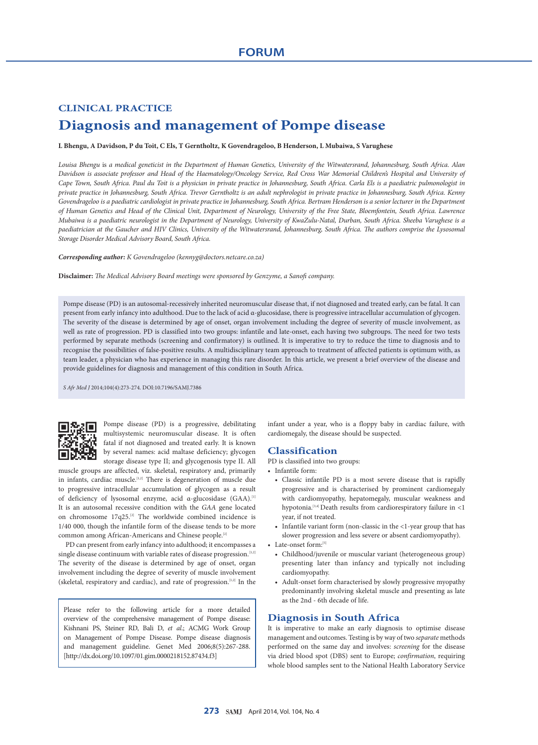# **CLINICAL PRACTICE Diagnosis and management of Pompe disease**

## **L Bhengu, A Davidson, P du Toit, C Els, T Gerntholtz, K Govendrageloo, B Henderson, L Mubaiwa, S Varughese**

*Louisa Bhengu* is *a medical geneticist in the Department of Human Genetics, University of the Witwatersrand, Johannesburg, South Africa. Alan Davidson is associate professor and Head of the Haematology/Oncology Service, Red Cross War Memorial Children's Hospital and University of Cape Town, South Africa. Paul du Toit is a physician in private practice in Johannesburg, South Africa. Carla Els is a paediatric pulmonologist in private practice in Johannesburg, South Africa. Trevor Gerntholtz is an adult nephrologist in private practice in Johannesburg, South Africa. Kenny*  Govendrageloo is a paediatric cardiologist in private practice in Johannesburg, South Africa. Bertram Henderson is a senior lecturer in the Department *of Human Genetics and Head of the Clinical Unit, Department of Neurology, University of the Free State, Bloemfontein, South Africa. Lawrence Mubaiwa is a paediatric neurologist in the Department of Neurology, University of KwaZulu-Natal, Durban, South Africa. Sheeba Varughese is a paediatrician at the Gaucher and HIV Clinics, University of the Witwatersrand, Johannesburg, South Africa. The authors comprise the Lysosomal Storage Disorder Medical Advisory Board, South Africa.*

#### *Corresponding author: K Govendrageloo (kennyg@doctors.netcare.co.za)*

**Disclaimer:** *The Medical Advisory Board meetings were sponsored by Genzyme, a Sanofi company.*

Pompe disease (PD) is an autosomal-recessively inherited neuromuscular disease that, if not diagnosed and treated early, can be fatal. It can present from early infancy into adulthood. Due to the lack of acid α-glucosidase, there is progressive intracellular accumulation of glycogen. The severity of the disease is determined by age of onset, organ involvement including the degree of severity of muscle involvement, as well as rate of progression. PD is classified into two groups: infantile and late-onset, each having two subgroups. The need for two tests performed by separate methods (screening and confirmatory) is outlined. It is imperative to try to reduce the time to diagnosis and to recognise the possibilities of false-positive results. A multidisciplinary team approach to treatment of affected patients is optimum with, as team leader, a physician who has experience in managing this rare disorder. In this article, we present a brief overview of the disease and provide guidelines for diagnosis and management of this condition in South Africa.

*S Afr Med J* 2014;104(4):273-274. DOI:10.7196/SAMJ.7386



Pompe disease (PD) is a progressive, debilitating multisystemic neuromuscular disease. It is often fatal if not diagnosed and treated early. It is known by several names: acid maltase deficiency; glycogen storage disease type II; and glycogenosis type II. All

muscle groups are affected, viz. skeletal, respiratory and, primarily in infants, cardiac muscle.<sup>[1,2]</sup> There is degeneration of muscle due to progressive intracellular accumulation of glycogen as a result of deficiency of lysosomal enzyme, acid α-glucosidase (GAA).<sup>[1]</sup> It is an autosomal recessive condition with the *GAA* gene located on chromosome 17q25.<sup>[2]</sup> The worldwide combined incidence is 1/40 000, though the infantile form of the disease tends to be more common among African-Americans and Chinese people.[2]

PD can present from early infancy into adulthood; it encompasses a single disease continuum with variable rates of disease progression.<sup>[1,2]</sup> The severity of the disease is determined by age of onset, organ involvement including the degree of severity of muscle involvement (skeletal, respiratory and cardiac), and rate of progression.[1,2] In the

Please refer to the following article for a more detailed overview of the comprehensive management of Pompe disease: Kishnani PS, Steiner RD, Bali D, *et al*.; ACMG Work Group on Management of Pompe Disease. Pompe disease diagnosis and management guideline. Genet Med 2006;8(5):267-288. [http://dx.doi.org/10.1097/01.gim.0000218152.87434.f3]

infant under a year, who is a floppy baby in cardiac failure, with cardiomegaly, the disease should be suspected.

# **Classification**

PD is classified into two groups:

• Infantile form:

- Classic infantile PD is a most severe disease that is rapidly progressive and is characterised by prominent cardiomegaly with cardiomyopathy, hepatomegaly, muscular weakness and hypotonia.<sup>[3,4]</sup> Death results from cardiorespiratory failure in  $\leq$ 1 year, if not treated.
- Infantile variant form (non-classic in the <1-year group that has slower progression and less severe or absent cardiomyopathy).
- Late-onset form:[5]
	- Childhood/juvenile or muscular variant (heterogeneous group) presenting later than infancy and typically not including cardiomyopathy.
	- Adult-onset form characterised by slowly progressive myopathy predominantly involving skeletal muscle and presenting as late as the 2nd - 6th decade of life.

# **Diagnosis in South Africa**

It is imperative to make an early diagnosis to optimise disease management and outcomes. Testing is by way of two *separate* methods performed on the same day and involves: *screening* for the disease via dried blood spot (DBS) sent to Europe; *confirmation*, requiring whole blood samples sent to the National Health Laboratory Service